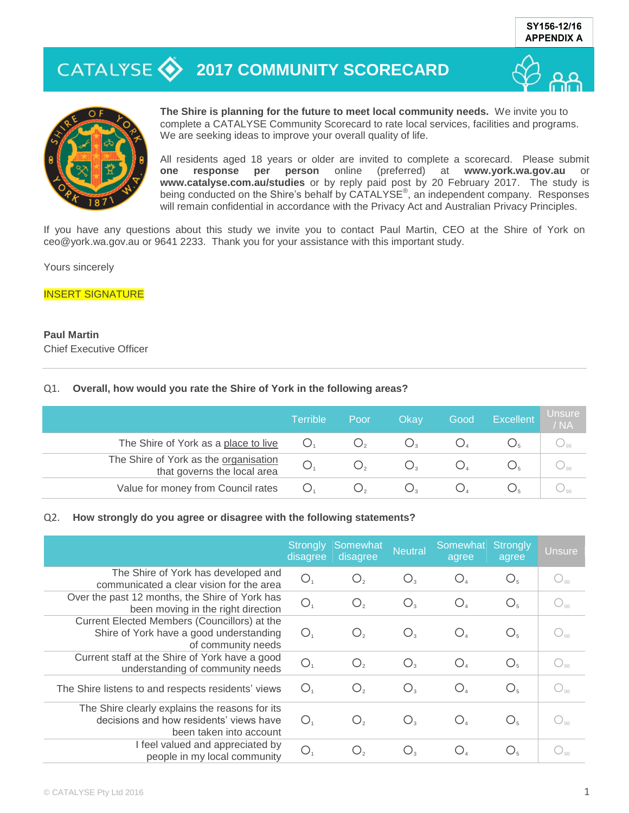# **2017 COMMUNITY SCORECARD**





**The Shire is planning for the future to meet local community needs.** We invite you to complete a CATALYSE Community Scorecard to rate local services, facilities and programs. We are seeking ideas to improve your overall quality of life.

All residents aged 18 years or older are invited to complete a scorecard. Please submit **one response per person** online (preferred) at **www.york.wa.gov.au** or **www.catalyse.com.au/studies** or by reply paid post by 20 February 2017. The study is being conducted on the Shire's behalf by CATALYSE<sup>®</sup>, an independent company. Responses will remain confidential in accordance with the Privacy Act and Australian Privacy Principles.

If you have any questions about this study we invite you to contact Paul Martin, CEO at the Shire of York on ceo@york.wa.gov.au or 9641 2233. Thank you for your assistance with this important study.

Yours sincerely

#### INSERT SIGNATURE

### **Paul Martin**

Chief Executive Officer

#### Q1. **Overall, how would you rate the Shire of York in the following areas?**

|                                                                      | <b>Terrible</b> | Poor | Okay | Good | Excellent | Unsure<br>/NA  |
|----------------------------------------------------------------------|-----------------|------|------|------|-----------|----------------|
| The Shire of York as a place to live                                 |                 |      |      |      |           | $\frac{1}{98}$ |
| The Shire of York as the organisation<br>that governs the local area | Ő               |      |      |      |           |                |
| Value for money from Council rates                                   | ( )             |      |      |      |           |                |

#### Q2. **How strongly do you agree or disagree with the following statements?**

|                                                                                                                      | <b>Strongly</b><br>disagree | Somewhat<br>disagree | <b>Neutral</b> | Somewhat<br>agree                  | <b>Strongly</b><br>agree | <b>Unsure</b> |
|----------------------------------------------------------------------------------------------------------------------|-----------------------------|----------------------|----------------|------------------------------------|--------------------------|---------------|
| The Shire of York has developed and<br>communicated a clear vision for the area                                      | $\bigcirc$                  | $O_{2}$              | $O_{3}$        | $O_{4}$                            | O <sub>5</sub>           |               |
| Over the past 12 months, the Shire of York has<br>been moving in the right direction                                 | $\bigcirc$                  | O <sub>2</sub>       | $O_{3}$        | $O_{4}$                            | O <sub>5</sub>           |               |
| Current Elected Members (Councillors) at the<br>Shire of York have a good understanding<br>of community needs        | O.                          | О,                   | О.             | $\bigcirc_{\scriptscriptstyle{A}}$ | $O_{\epsilon}$           |               |
| Current staff at the Shire of York have a good<br>understanding of community needs                                   | $\bigcirc$                  | O,                   | $O_{3}$        | $O_{4}$                            | $O_{\epsilon}$           |               |
| The Shire listens to and respects residents' views                                                                   | О.                          | $\mathsf{O},$        | $O_{3}$        | $\bigcirc_{\scriptscriptstyle{A}}$ | O <sub>5</sub>           |               |
| The Shire clearly explains the reasons for its<br>decisions and how residents' views have<br>been taken into account | O <sub>1</sub>              | O <sub>2</sub>       | $O_{3}$        | $O_{\scriptscriptstyle{A}}$        | O <sub>5</sub>           |               |
| I feel valued and appreciated by<br>people in my local community                                                     | $\bigcirc$                  | O,                   | Ő,             | $\bigcirc_{\scriptscriptstyle{A}}$ | $O_{\epsilon}$           |               |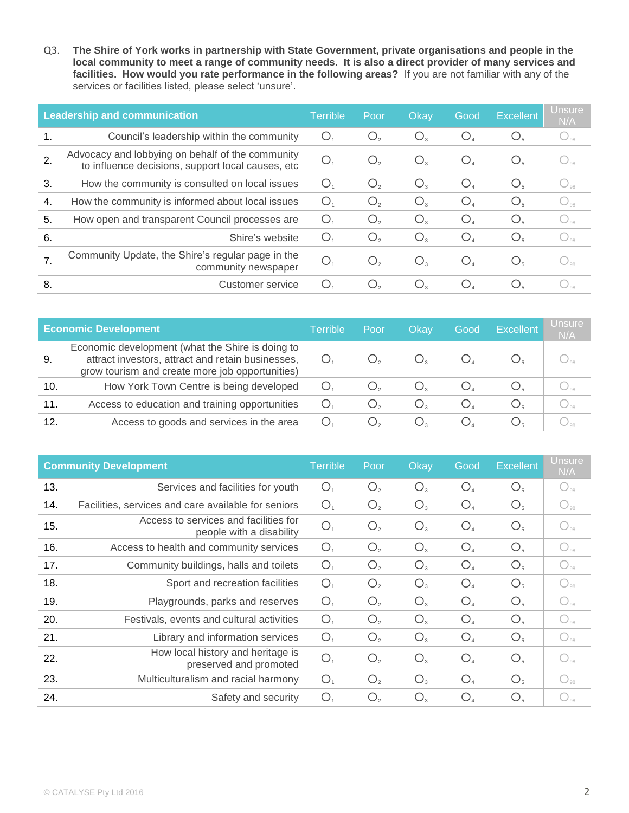Q3. **The Shire of York works in partnership with State Government, private organisations and people in the local community to meet a range of community needs. It is also a direct provider of many services and facilities. How would you rate performance in the following areas?** If you are not familiar with any of the services or facilities listed, please select 'unsure'.

|    | <b>Leadership and communication</b>                                                                   |                | Poor               | Okay    | Good                       | <b>Excellent</b> | Unsure<br>N/A                     |
|----|-------------------------------------------------------------------------------------------------------|----------------|--------------------|---------|----------------------------|------------------|-----------------------------------|
| 1. | Council's leadership within the community                                                             | Ő              | $\bigcirc_{2}$     | $O_{3}$ | $O_{\scriptscriptstyle A}$ | O <sub>5</sub>   | $\bigcup_{98}$                    |
| 2. | Advocacy and lobbying on behalf of the community<br>to influence decisions, support local causes, etc | O <sub>1</sub> | $\bigcup_{2}$      | $O_{3}$ | $O_{4}$                    | O <sub>5</sub>   | $\bigcup_{\mathrm{Q} \mathrm{R}}$ |
| 3. | How the community is consulted on local issues                                                        | O.             | $\bigcirc_{\circ}$ | $O_{3}$ | O <sub>4</sub>             | O <sub>5</sub>   | $\bigcup_{98}$                    |
| 4. | How the community is informed about local issues                                                      | O              | O <sub>2</sub>     | $O_{3}$ | $O_{4}$                    | O <sub>5</sub>   | $\bigcup_{\text{QR}}$             |
| 5. | How open and transparent Council processes are                                                        | Ő              | Ő,                 | $O_{3}$ | O <sub>4</sub>             | O <sub>5</sub>   | $\bigcup_{98}$                    |
| 6. | Shire's website                                                                                       | $\circ$        | $O_{2}$            | $O_{3}$ | O <sub>4</sub>             | O <sub>5</sub>   | $\bigcup_{98}$                    |
|    | Community Update, the Shire's regular page in the<br>community newspaper                              | $\bigcirc$     | $\bigcup_{\alpha}$ | $O_{3}$ | $O_{4}$                    | $O_{\epsilon}$   | $\bigcup_{\text{98}}$             |
| 8. | Customer service                                                                                      | Ő              | Ő.                 | Ő,      | $\bigcup_{\lambda}$        | $O_{\epsilon}$   |                                   |

|     | <b>Economic Development</b>                                                                                                                              | Terrible | ' Poor | Okav  | Good | <b>Excellent</b> | <b>Unsure</b><br>N/A |
|-----|----------------------------------------------------------------------------------------------------------------------------------------------------------|----------|--------|-------|------|------------------|----------------------|
| 9.  | Economic development (what the Shire is doing to<br>attract investors, attract and retain businesses,<br>grow tourism and create more job opportunities) |          |        |       |      |                  |                      |
| 10. | How York Town Centre is being developed                                                                                                                  |          |        | Õ,    |      |                  |                      |
| 11. | Access to education and training opportunities                                                                                                           | ()       | Ő,     | Ő,    |      |                  | $\bigcirc_{98}$      |
| 12. | Access to goods and services in the area                                                                                                                 | Ő        | Ő,     | ( ) . |      |                  |                      |

|     | <b>Community Development</b>                                      | <b>Terrible</b> | Poor           | Okay           | Good           | <b>Excellent</b> | <b>Unsure</b><br>N/A |
|-----|-------------------------------------------------------------------|-----------------|----------------|----------------|----------------|------------------|----------------------|
| 13. | Services and facilities for youth                                 | O <sub>1</sub>  | O <sub>2</sub> | $O_{3}$        | O <sub>4</sub> | O <sub>5</sub>   | $\bigcirc_{98}$      |
| 14. | Facilities, services and care available for seniors               | O <sub>1</sub>  | O <sub>2</sub> | $O_{3}$        | O <sub>4</sub> | O <sub>5</sub>   | $\bigcirc_{98}$      |
| 15. | Access to services and facilities for<br>people with a disability | O <sub>1</sub>  | O <sub>2</sub> | $O_{3}$        | O <sub>4</sub> | O <sub>5</sub>   | $\bigcirc_{98}$      |
| 16. | Access to health and community services                           | O <sub>1</sub>  | O <sub>2</sub> | $O_{3}$        | O <sub>4</sub> | O <sub>5</sub>   | $\bigcirc_{98}$      |
| 17. | Community buildings, halls and toilets                            | O <sub>1</sub>  | O <sub>2</sub> | O <sub>3</sub> | O <sub>4</sub> | O <sub>5</sub>   | $\bigcirc_{98}$      |
| 18. | Sport and recreation facilities                                   | O <sub>1</sub>  | O <sub>2</sub> | $O_3$          | O <sub>4</sub> | O <sub>5</sub>   | $\bigcirc_{98}$      |
| 19. | Playgrounds, parks and reserves                                   | O <sub>1</sub>  | O <sub>2</sub> | $O_{3}$        | O <sub>4</sub> | O <sub>5</sub>   | $\bigcirc_{98}$      |
| 20. | Festivals, events and cultural activities                         | O <sub>1</sub>  | O <sub>2</sub> | $O_{3}$        | O <sub>4</sub> | O <sub>5</sub>   | $\bigcirc_{98}$      |
| 21. | Library and information services                                  | O <sub>1</sub>  | O <sub>2</sub> | $O_3$          | O <sub>4</sub> | O <sub>5</sub>   | $\bigcirc_{98}$      |
| 22. | How local history and heritage is<br>preserved and promoted       | O <sub>1</sub>  | O <sub>2</sub> | O <sub>3</sub> | O <sub>4</sub> | O <sub>5</sub>   | $O_{98}$             |
| 23. | Multiculturalism and racial harmony                               | O <sub>1</sub>  | O <sub>2</sub> | O <sub>3</sub> | O <sub>4</sub> | O <sub>5</sub>   | $\bigcirc_{98}$      |
| 24. | Safety and security                                               | O <sub>1</sub>  | O <sub>2</sub> | $O_{3}$        | O <sub>4</sub> | O <sub>5</sub>   | $\bigcirc_{98}$      |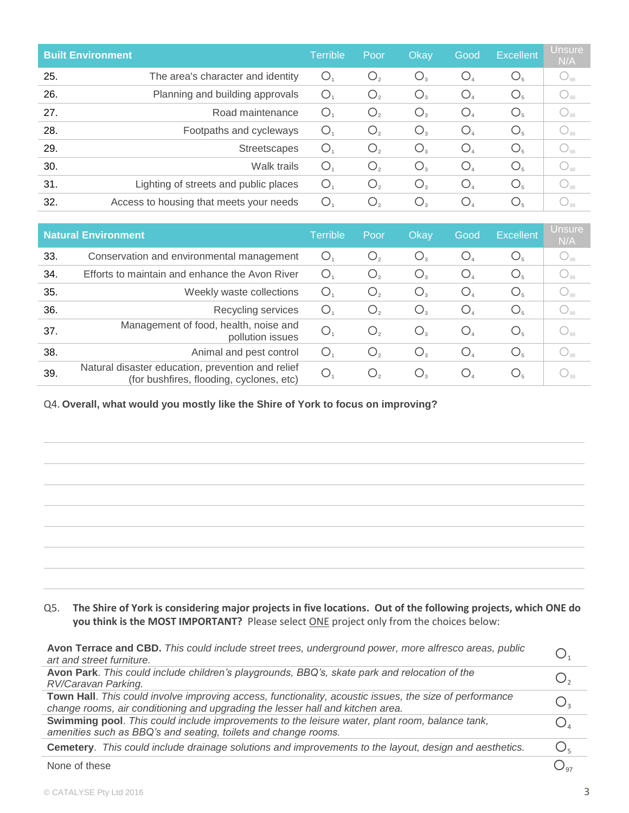| <b>Built Environment</b> |                                         | Terrible       | Poor    | Okay                               | Good           | <b>Excellent</b> | <b>Unsure</b><br>N/A                |
|--------------------------|-----------------------------------------|----------------|---------|------------------------------------|----------------|------------------|-------------------------------------|
| 25.                      | The area's character and identity       | Ő.             | $O_{2}$ | $O_{3}$                            | O <sub>4</sub> | O <sub>5</sub>   | $\bigcirc_{98}$                     |
| 26.                      | Planning and building approvals         | О.             | O,      | $O_{3}$                            | O <sub>4</sub> | O <sub>5</sub>   | $\bigcirc_{\scriptscriptstyle{98}}$ |
| 27.                      | Road maintenance                        | $\bigcirc$     | O,      | $O_{3}$                            | O <sub>4</sub> | O <sub>5</sub>   | $\bigcirc$ <sub>98</sub>            |
| 28.                      | Footpaths and cycleways                 | О.             | O,      | $O_{3}$                            | O <sub>4</sub> | O <sub>5</sub>   | $\bigcirc_{98}$                     |
| 29.                      | Streetscapes                            | O              | O,      | $O_{3}$                            | $O_{4}$        | O <sub>5</sub>   | $\bigcirc_{\scriptscriptstyle{98}}$ |
| 30.                      | Walk trails                             | $\bigcirc$     | O,      | $O_{3}$                            | O <sub>4</sub> | O <sub>5</sub>   | $\bigcirc_{98}$                     |
| 31.                      | Lighting of streets and public places   | $\bigcirc_{1}$ | O,      | $O_{3}$                            | O <sub>4</sub> | O <sub>5</sub>   | $\bigcirc$ <sub>98</sub>            |
| 32.                      | Access to housing that meets your needs | О.             | Ő,      | $\bigcirc_{\scriptscriptstyle{3}}$ | $O_{4}$        | O <sub>5</sub>   | $\bigcup_{98}$                      |

|     | <b>Natural Environment</b>                                                                    |                | Poor          | Okay                     | Good                               | <b>Excellent</b> | <b>Unsure</b><br>N/A                     |
|-----|-----------------------------------------------------------------------------------------------|----------------|---------------|--------------------------|------------------------------------|------------------|------------------------------------------|
| 33. | Conservation and environmental management                                                     | Ő.             | $\bigcup_{2}$ | $O_{3}$                  | $\bigcirc_{\scriptscriptstyle{A}}$ | O <sub>5</sub>   | $\bigcup_{98}$                           |
| 34. | Efforts to maintain and enhance the Avon River                                                | O.             | $\bigcup_{2}$ | $O_{3}$                  | $O_{4}$                            | O <sub>5</sub>   | $\bigcup_{98}$                           |
| 35. | Weekly waste collections                                                                      | Ő.             | $\bigcup_{2}$ | $\bigcup_{3}$            | $O_{4}$                            | O <sub>5</sub>   | $\bigcup_{98}$                           |
| 36. | Recycling services                                                                            | O.             | Ő,            | $O_{3}$                  | $O_{4}$                            | $O_{\epsilon}$   | $\bigcirc_{98}$                          |
| 37. | Management of food, health, noise and<br>pollution issues                                     | O <sub>1</sub> | $\bigcup_{2}$ | $O_{3}$                  | $O_{4}$                            | O <sub>5</sub>   | $\bigcup_{98}$                           |
| 38. | Animal and pest control                                                                       | О.             | O,            | $O_{3}$                  | $O_{4}$                            | $O_{5}$          | $\bigcup_{98}$                           |
| 39. | Natural disaster education, prevention and relief<br>(for bushfires, flooding, cyclones, etc) | O.             | $\bigcup_{2}$ | $\bigcup_{\mathfrak{A}}$ | $\bigcup_{\Delta}$                 | $O_{5}$          | $\cup_{\scriptscriptstyle{\mathsf{98}}}$ |

Q4. **Overall, what would you mostly like the Shire of York to focus on improving?** 

### Q5. **The Shire of York is considering major projects in five locations. Out of the following projects, which ONE do you think is the MOST IMPORTANT?** Please select ONE project only from the choices below:

| Avon Terrace and CBD. This could include street trees, underground power, more alfresco areas, public<br>art and street furniture.                               |                                    |  |  |  |  |
|------------------------------------------------------------------------------------------------------------------------------------------------------------------|------------------------------------|--|--|--|--|
| Avon Park. This could include children's playgrounds, BBQ's, skate park and relocation of the<br>RV/Caravan Parking.                                             |                                    |  |  |  |  |
| Town Hall. This could involve improving access, functionality, acoustic issues, the size of performance                                                          |                                    |  |  |  |  |
| change rooms, air conditioning and upgrading the lesser hall and kitchen area.                                                                                   |                                    |  |  |  |  |
| Swimming pool. This could include improvements to the leisure water, plant room, balance tank,<br>amenities such as BBQ's and seating, toilets and change rooms. | Ο.                                 |  |  |  |  |
| Cemetery. This could include drainage solutions and improvements to the layout, design and aesthetics.                                                           | $\bigcirc_{\scriptscriptstyle{5}}$ |  |  |  |  |
| None of these                                                                                                                                                    |                                    |  |  |  |  |